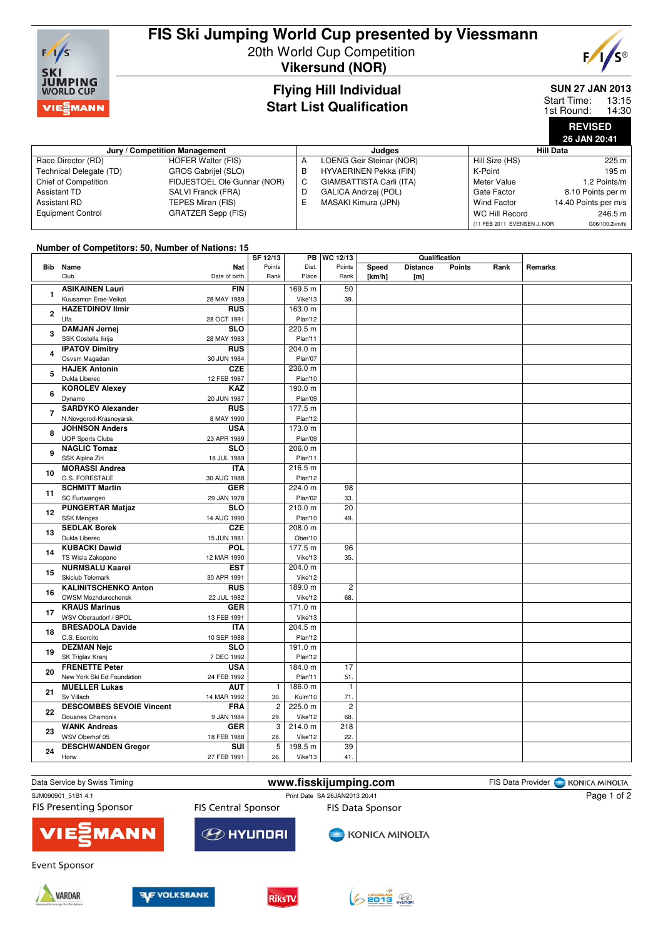

# **FIS Ski Jumping World Cup presented by Viessmann**

20th World Cup Competition **Vikersund (NOR)**



## **Flying Hill Individual Start List Qualification**

**SUN 27 JAN 2013**

13:15 14:30 Start Time: 1st Round:

> **REVISED 26 JAN 20:41**

| Jury / Competition Management |                             |   | Judaes                        | Hill Data                   |                      |  |
|-------------------------------|-----------------------------|---|-------------------------------|-----------------------------|----------------------|--|
| Race Director (RD)            | <b>HOFER Walter (FIS)</b>   | A | LOENG Geir Steinar (NOR)      | Hill Size (HS)              | 225 m                |  |
| Technical Delegate (TD)       | GROS Gabrijel (SLO)         | в | <b>HYVAERINEN Pekka (FIN)</b> | K-Point                     | 195 m                |  |
| Chief of Competition          | FIDJESTOEL Ole Gunnar (NOR) | C | GIAMBATTISTA Carli (ITA)      | Meter Value                 | 1.2 Points/m         |  |
| Assistant TD                  | SALVI Franck (FRA)          | D | <b>GALICA Andrzei (POL)</b>   | Gate Factor                 | 8.10 Points per m    |  |
| <b>Assistant RD</b>           | TEPES Miran (FIS)           | Е | MASAKI Kimura (JPN)           | Wind Factor                 | 14.40 Points per m/s |  |
| <b>Equipment Control</b>      | <b>GRATZER Sepp (FIS)</b>   |   |                               | WC Hill Record              | 246.5 m              |  |
|                               |                             |   |                               | (11 FEB 2011 EVENSEN J. NOR | G06/100.2km/h)       |  |

### **Number of Competitors: 50, Number of Nations: 15**

|                         |                                               | SF 12/13       |         | PB   WC 12/13  | Qualification |                 |               |      |         |
|-------------------------|-----------------------------------------------|----------------|---------|----------------|---------------|-----------------|---------------|------|---------|
|                         | <b>Bib</b> Name<br><b>Nat</b>                 | Points         | Dist.   | Points         | Speed         | <b>Distance</b> | <b>Points</b> | Rank | Remarks |
|                         | Club<br>Date of birth                         | Rank           | Place   | Rank           | [km/h]        | [m]             |               |      |         |
|                         | <b>ASIKAINEN Lauri</b><br><b>FIN</b>          |                | 169.5 m | 50             |               |                 |               |      |         |
| 1                       | Kuusamon Erae-Veikot<br>28 MAY 1989           |                | Vike'13 | 39.            |               |                 |               |      |         |
| $\mathbf{2}$            | <b>HAZETDINOV Ilmir</b><br><b>RUS</b>         |                | 163.0 m |                |               |                 |               |      |         |
|                         | Ufa<br>28 OCT 1991                            |                | Plan'12 |                |               |                 |               |      |         |
|                         | <b>DAMJAN Jernej</b><br><b>SLO</b>            |                | 220.5 m |                |               |                 |               |      |         |
| $\overline{\mathbf{3}}$ | SSK Costella Ilirija<br>28 MAY 1983           |                | Plan'11 |                |               |                 |               |      |         |
| 4                       | <b>RUS</b><br><b>IPATOV Dimitry</b>           |                | 204.0 m |                |               |                 |               |      |         |
|                         | Osvsm Magadan<br>30 JUN 1984                  |                | Plan'07 |                |               |                 |               |      |         |
| 5                       | <b>HAJEK Antonin</b><br><b>CZE</b>            |                | 236.0 m |                |               |                 |               |      |         |
|                         | Dukla Liberec<br>12 FEB 1987                  |                | Plan'10 |                |               |                 |               |      |         |
| 6                       | KAZ<br><b>KOROLEV Alexey</b>                  |                | 190.0 m |                |               |                 |               |      |         |
|                         | Dynamo<br>20 JUN 1987                         |                | Plan'09 |                |               |                 |               |      |         |
|                         | <b>SARDYKO Alexander</b><br><b>RUS</b>        |                | 177.5 m |                |               |                 |               |      |         |
| $\overline{7}$          | N.Novgorod-Krasnoyarsk<br>8 MAY 1990          |                | Plan'12 |                |               |                 |               |      |         |
|                         | <b>JOHNSON Anders</b><br><b>USA</b>           |                | 173.0 m |                |               |                 |               |      |         |
| 8                       | <b>UOP Sports Clubs</b><br>23 APR 1989        |                | Plan'09 |                |               |                 |               |      |         |
|                         | <b>NAGLIC Tomaz</b><br><b>SLO</b>             |                | 206.0 m |                |               |                 |               |      |         |
| 9                       | SSK Alpina Ziri<br>18 JUL 1989                |                | Plan'11 |                |               |                 |               |      |         |
|                         | <b>ITA</b>                                    |                | 216.5 m |                |               |                 |               |      |         |
| 10                      | <b>MORASSI Andrea</b><br>G.S. FORESTALE       |                |         |                |               |                 |               |      |         |
|                         | 30 AUG 1988<br><b>SCHMITT Martin</b>          |                | Plan'12 |                |               |                 |               |      |         |
| 11                      | <b>GER</b>                                    |                | 224.0 m | 98             |               |                 |               |      |         |
|                         | SC Furtwangen<br>29 JAN 1978                  |                | Plan'02 | 33.            |               |                 |               |      |         |
| 12                      | <b>PUNGERTAR Matjaz</b><br><b>SLO</b>         |                | 210.0 m | 20             |               |                 |               |      |         |
|                         | <b>SSK Menges</b><br>14 AUG 1990              |                | Plan'10 | 49.            |               |                 |               |      |         |
| 13                      | <b>SEDLAK Borek</b><br><b>CZE</b>             |                | 208.0 m |                |               |                 |               |      |         |
|                         | Dukla Liberec<br>15 JUN 1981                  |                | Ober'10 |                |               |                 |               |      |         |
| 14                      | <b>KUBACKI Dawid</b><br><b>POL</b>            |                | 177.5 m | 96             |               |                 |               |      |         |
|                         | TS Wisla Zakopane<br>12 MAR 1990              |                | Vike'13 | 35.            |               |                 |               |      |         |
| 15                      | <b>NURMSALU Kaarel</b><br><b>EST</b>          |                | 204.0 m |                |               |                 |               |      |         |
|                         | Skiclub Telemark<br>30 APR 1991               |                | Vike'12 |                |               |                 |               |      |         |
| 16                      | <b>KALINITSCHENKO Anton</b><br><b>RUS</b>     |                | 189.0 m | $\overline{2}$ |               |                 |               |      |         |
|                         | <b>CWSM Mezhdurechensk</b><br>22 JUL 1982     |                | Vike'12 | 68.            |               |                 |               |      |         |
| 17                      | <b>KRAUS Marinus</b><br><b>GER</b>            |                | 171.0 m |                |               |                 |               |      |         |
|                         | WSV Oberaudorf / BPOL<br>13 FEB 1991          |                | Vike'13 |                |               |                 |               |      |         |
| 18                      | <b>BRESADOLA Davide</b><br><b>ITA</b>         |                | 204.5 m |                |               |                 |               |      |         |
|                         | C.S. Esercito<br>10 SEP 1988                  |                | Plan'12 |                |               |                 |               |      |         |
| 19                      | <b>DEZMAN Nejc</b><br><b>SLO</b>              |                | 191.0 m |                |               |                 |               |      |         |
|                         | SK Triglav Kranj<br>7 DEC 1992                |                | Plan'12 |                |               |                 |               |      |         |
| 20                      | <b>FRENETTE Peter</b><br><b>USA</b>           |                | 184.0 m | 17             |               |                 |               |      |         |
|                         | New York Ski Ed Foundation<br>24 FEB 1992     |                | Plan'11 | 51.            |               |                 |               |      |         |
| 21                      | <b>MUELLER Lukas</b><br><b>AUT</b>            | $\mathbf{1}$   | 186.0 m | $\overline{1}$ |               |                 |               |      |         |
|                         | Sv Villach<br>14 MAR 1992                     | 30.            | Kulm'10 | 71.            |               |                 |               |      |         |
| 22                      | <b>DESCOMBES SEVOIE Vincent</b><br><b>FRA</b> | $\overline{2}$ | 225.0 m | $\overline{2}$ |               |                 |               |      |         |
|                         | Douanes Chamonix<br>9 JAN 1984                | 29.            | Vike'12 | 68.            |               |                 |               |      |         |
| 23                      | <b>GER</b><br><b>WANK Andreas</b>             | 3              | 214.0 m | 218            |               |                 |               |      |         |
|                         | WSV Oberhof 05<br>18 FEB 1988                 | 28.            | Vike'12 | 22.            |               |                 |               |      |         |
| 24                      | <b>DESCHWANDEN Gregor</b><br>SUI              | 5              | 198.5 m | 39             |               |                 |               |      |         |
|                         | 27 FEB 1991<br>Horw                           | 26.            | Vike'13 | 41.            |               |                 |               |      |         |
|                         |                                               |                |         |                |               |                 |               |      |         |